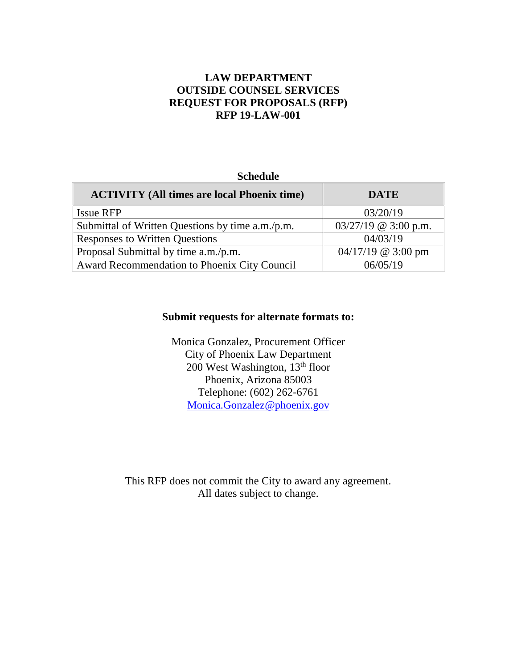# **LAW DEPARTMENT OUTSIDE COUNSEL SERVICES REQUEST FOR PROPOSALS (RFP) RFP 19-LAW-001**

#### **Schedule**

| <b>ACTIVITY</b> (All times are local Phoenix time) | <b>DATE</b>            |
|----------------------------------------------------|------------------------|
| <b>Issue RFP</b>                                   | 03/20/19               |
| Submittal of Written Questions by time a.m./p.m.   | $03/27/19$ @ 3:00 p.m. |
| <b>Responses to Written Questions</b>              | 04/03/19               |
| Proposal Submittal by time a.m./p.m.               | $04/17/19$ @ 3:00 pm   |
| Award Recommendation to Phoenix City Council       | 06/05/19               |

#### **Submit requests for alternate formats to:**

Monica Gonzalez, Procurement Officer City of Phoenix Law Department 200 West Washington,  $13<sup>th</sup>$  floor Phoenix, Arizona 85003 Telephone: (602) 262-6761 Monica.Gonzalez@phoenix.gov

This RFP does not commit the City to award any agreement. All dates subject to change.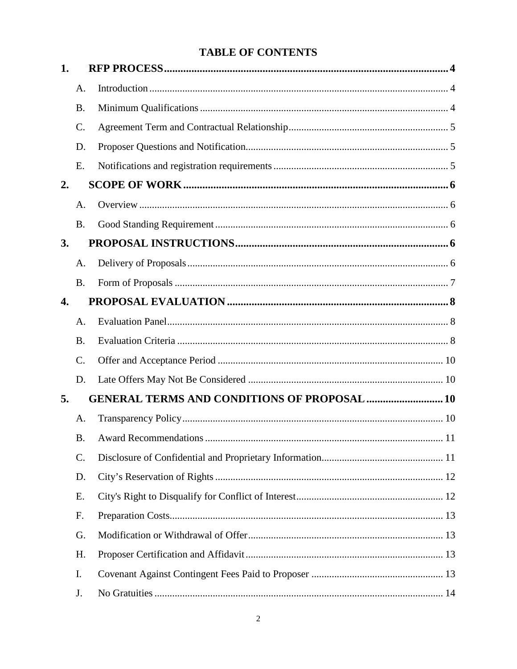# **TABLE OF CONTENTS**

| 1. |                 |                                                     |    |
|----|-----------------|-----------------------------------------------------|----|
|    | A.              |                                                     |    |
|    | <b>B.</b>       |                                                     |    |
|    | $\mathcal{C}$ . |                                                     |    |
|    | D.              |                                                     |    |
|    | E.              |                                                     |    |
| 2. |                 |                                                     |    |
|    | A.              |                                                     |    |
|    | <b>B.</b>       |                                                     |    |
| 3. |                 |                                                     |    |
|    | A.              |                                                     |    |
|    | <b>B.</b>       |                                                     |    |
| 4. |                 |                                                     |    |
|    | A.              |                                                     |    |
|    | <b>B.</b>       |                                                     |    |
|    | $\mathcal{C}$ . |                                                     |    |
|    | D.              |                                                     |    |
| 5. |                 | <b>GENERAL TERMS AND CONDITIONS OF PROPOSAL  10</b> |    |
|    | A.              |                                                     |    |
|    | B.              | <b>Award Recommendations</b>                        | 11 |
|    | C.              |                                                     |    |
|    | D.              |                                                     |    |
|    | E.              |                                                     |    |
|    | F.              |                                                     |    |
|    | G.              |                                                     |    |
|    | H.              |                                                     |    |
|    | I.              |                                                     |    |
|    | J.              |                                                     |    |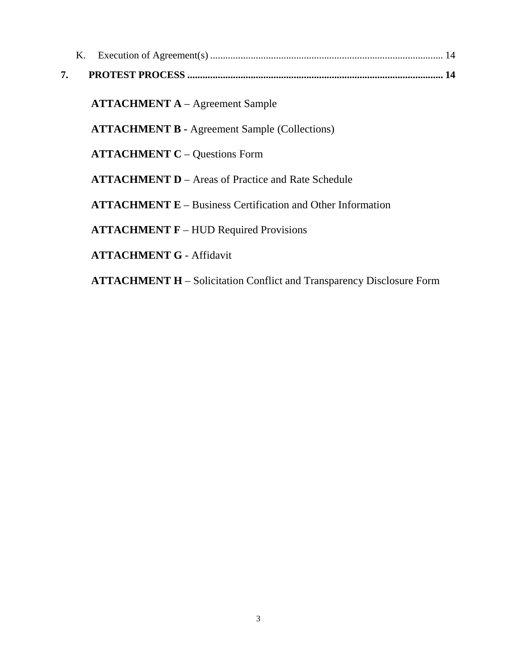|    | Κ. |                                                                              |
|----|----|------------------------------------------------------------------------------|
| 7. |    |                                                                              |
|    |    |                                                                              |
|    |    | <b>ATTACHMENT A</b> – Agreement Sample                                       |
|    |    | <b>ATTACHMENT B - Agreement Sample (Collections)</b>                         |
|    |    | <b>ATTACHMENT C – Questions Form</b>                                         |
|    |    | <b>ATTACHMENT D</b> – Areas of Practice and Rate Schedule                    |
|    |    | $ATTACHMENT E - Business certification and Other Information$                |
|    |    | <b>ATTACHMENT F</b> – HUD Required Provisions                                |
|    |    | <b>ATTACHMENT G - Affidavit</b>                                              |
|    |    | <b>ATTACHMENT H</b> – Solicitation Conflict and Transparency Disclosure Form |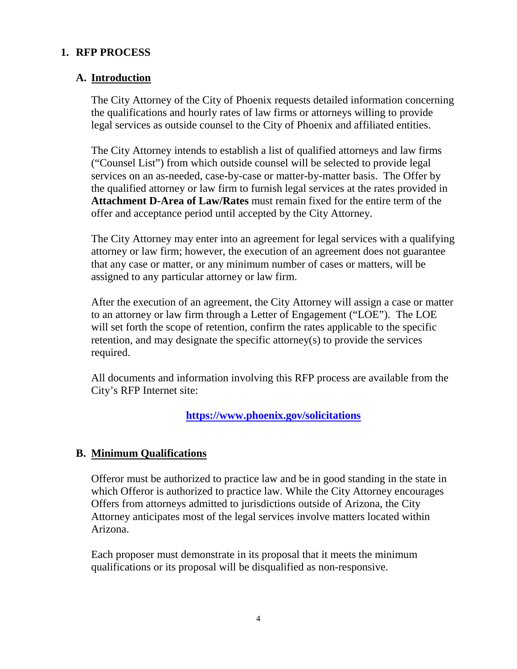# **1. RFP PROCESS**

#### **A. Introduction**

The City Attorney of the City of Phoenix requests detailed information concerning the qualifications and hourly rates of law firms or attorneys willing to provide legal services as outside counsel to the City of Phoenix and affiliated entities.

The City Attorney intends to establish a list of qualified attorneys and law firms ("Counsel List") from which outside counsel will be selected to provide legal services on an as-needed, case-by-case or matter-by-matter basis. The Offer by the qualified attorney or law firm to furnish legal services at the rates provided in **Attachment D-Area of Law/Rates** must remain fixed for the entire term of the offer and acceptance period until accepted by the City Attorney.

The City Attorney may enter into an agreement for legal services with a qualifying attorney or law firm; however, the execution of an agreement does not guarantee that any case or matter, or any minimum number of cases or matters, will be assigned to any particular attorney or law firm.

After the execution of an agreement, the City Attorney will assign a case or matter to an attorney or law firm through a Letter of Engagement ("LOE"). The LOE will set forth the scope of retention, confirm the rates applicable to the specific retention, and may designate the specific attorney(s) to provide the services required.

All documents and information involving this RFP process are available from the City's RFP Internet site:

**https://www.phoenix.gov/solicitations**

# **B. Minimum Qualifications**

Offeror must be authorized to practice law and be in good standing in the state in which Offeror is authorized to practice law. While the City Attorney encourages Offers from attorneys admitted to jurisdictions outside of Arizona, the City Attorney anticipates most of the legal services involve matters located within Arizona.

Each proposer must demonstrate in its proposal that it meets the minimum qualifications or its proposal will be disqualified as non-responsive.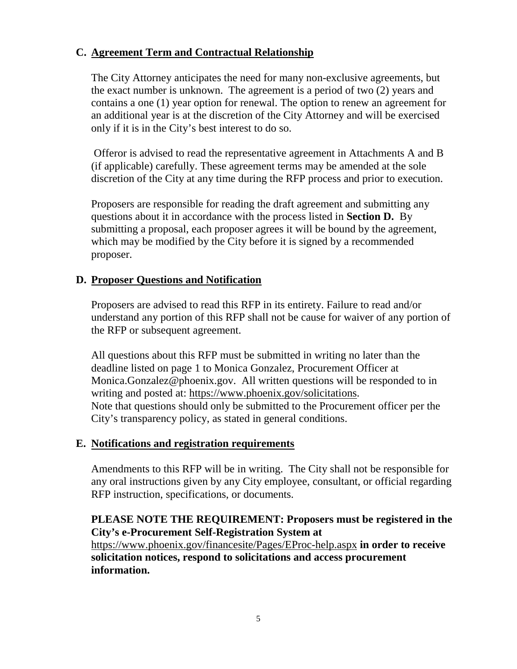# **C. Agreement Term and Contractual Relationship**

The City Attorney anticipates the need for many non-exclusive agreements, but the exact number is unknown. The agreement is a period of two (2) years and contains a one (1) year option for renewal. The option to renew an agreement for an additional year is at the discretion of the City Attorney and will be exercised only if it is in the City's best interest to do so.

Offeror is advised to read the representative agreement in Attachments A and B (if applicable) carefully. These agreement terms may be amended at the sole discretion of the City at any time during the RFP process and prior to execution.

Proposers are responsible for reading the draft agreement and submitting any questions about it in accordance with the process listed in **Section D.** By submitting a proposal, each proposer agrees it will be bound by the agreement, which may be modified by the City before it is signed by a recommended proposer.

# **D. Proposer Questions and Notification**

Proposers are advised to read this RFP in its entirety. Failure to read and/or understand any portion of this RFP shall not be cause for waiver of any portion of the RFP or subsequent agreement.

All questions about this RFP must be submitted in writing no later than the deadline listed on page 1 to Monica Gonzalez, Procurement Officer at Monica.Gonzalez@phoenix.gov. All written questions will be responded to in writing and posted at: https://www.phoenix.gov/solicitations. Note that questions should only be submitted to the Procurement officer per the City's transparency policy, as stated in general conditions.

# **E. Notifications and registration requirements**

Amendments to this RFP will be in writing. The City shall not be responsible for any oral instructions given by any City employee, consultant, or official regarding RFP instruction, specifications, or documents.

#### **PLEASE NOTE THE REQUIREMENT: Proposers must be registered in the City's e-Procurement Self-Registration System at**

https://www.phoenix.gov/financesite/Pages/EProc-help.aspx **in order to receive solicitation notices, respond to solicitations and access procurement information.**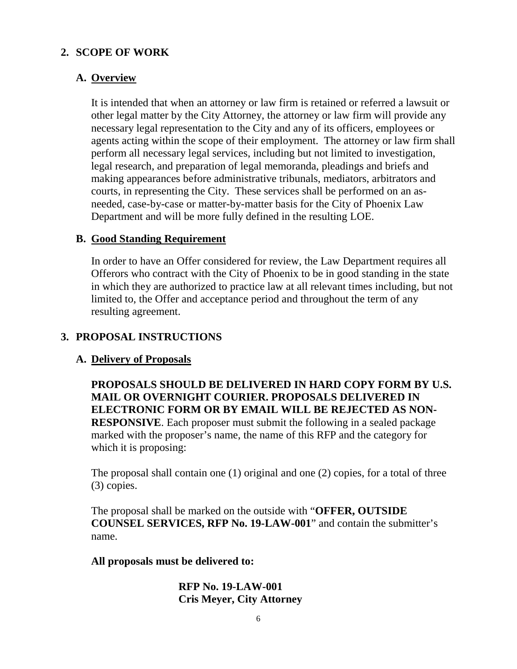# **2. SCOPE OF WORK**

# **A. Overview**

It is intended that when an attorney or law firm is retained or referred a lawsuit or other legal matter by the City Attorney, the attorney or law firm will provide any necessary legal representation to the City and any of its officers, employees or agents acting within the scope of their employment. The attorney or law firm shall perform all necessary legal services, including but not limited to investigation, legal research, and preparation of legal memoranda, pleadings and briefs and making appearances before administrative tribunals, mediators, arbitrators and courts, in representing the City. These services shall be performed on an asneeded, case-by-case or matter-by-matter basis for the City of Phoenix Law Department and will be more fully defined in the resulting LOE.

#### **B. Good Standing Requirement**

In order to have an Offer considered for review, the Law Department requires all Offerors who contract with the City of Phoenix to be in good standing in the state in which they are authorized to practice law at all relevant times including, but not limited to, the Offer and acceptance period and throughout the term of any resulting agreement.

# **3. PROPOSAL INSTRUCTIONS**

# **A. Delivery of Proposals**

**PROPOSALS SHOULD BE DELIVERED IN HARD COPY FORM BY U.S. MAIL OR OVERNIGHT COURIER. PROPOSALS DELIVERED IN ELECTRONIC FORM OR BY EMAIL WILL BE REJECTED AS NON-RESPONSIVE**. Each proposer must submit the following in a sealed package marked with the proposer's name, the name of this RFP and the category for which it is proposing:

The proposal shall contain one (1) original and one (2) copies, for a total of three (3) copies.

The proposal shall be marked on the outside with "**OFFER, OUTSIDE COUNSEL SERVICES, RFP No. 19-LAW-001**" and contain the submitter's name.

#### **All proposals must be delivered to:**

#### **RFP No. 19-LAW-001 Cris Meyer, City Attorney**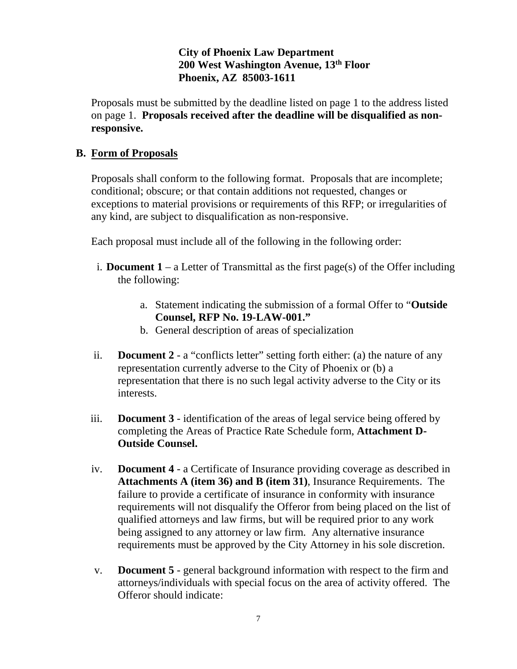# **City of Phoenix Law Department 200 West Washington Avenue, 13th Floor Phoenix, AZ 85003-1611**

Proposals must be submitted by the deadline listed on page 1 to the address listed on page 1. **Proposals received after the deadline will be disqualified as nonresponsive.**

# **B. Form of Proposals**

Proposals shall conform to the following format. Proposals that are incomplete; conditional; obscure; or that contain additions not requested, changes or exceptions to material provisions or requirements of this RFP; or irregularities of any kind, are subject to disqualification as non-responsive.

Each proposal must include all of the following in the following order:

- i. **Document 1** a Letter of Transmittal as the first page(s) of the Offer including the following:
	- a. Statement indicating the submission of a formal Offer to "**Outside Counsel, RFP No. 19-LAW-001."**
	- b. General description of areas of specialization
- ii. **Document 2** a "conflicts letter" setting forth either: (a) the nature of any representation currently adverse to the City of Phoenix or (b) a representation that there is no such legal activity adverse to the City or its interests.
- iii. **Document 3** identification of the areas of legal service being offered by completing the Areas of Practice Rate Schedule form, **Attachment D-Outside Counsel.**
- iv. **Document 4** a Certificate of Insurance providing coverage as described in **Attachments A (item 36) and B (item 31)**, Insurance Requirements. The failure to provide a certificate of insurance in conformity with insurance requirements will not disqualify the Offeror from being placed on the list of qualified attorneys and law firms, but will be required prior to any work being assigned to any attorney or law firm. Any alternative insurance requirements must be approved by the City Attorney in his sole discretion.
- v. **Document 5** general background information with respect to the firm and attorneys/individuals with special focus on the area of activity offered. The Offeror should indicate: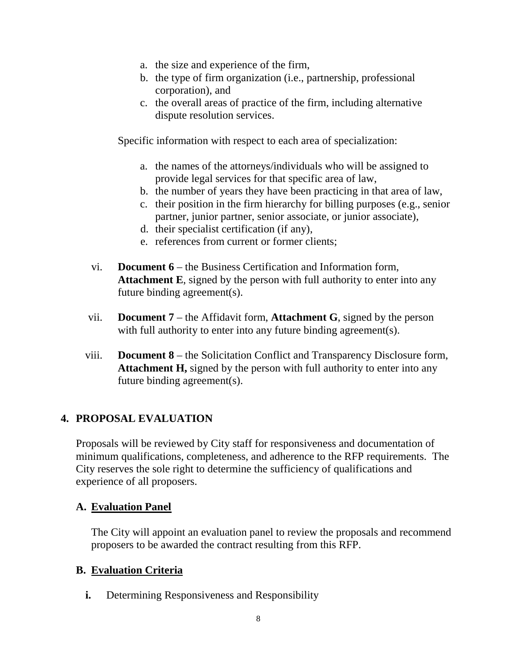- a. the size and experience of the firm,
- b. the type of firm organization (i.e., partnership, professional corporation), and
- c. the overall areas of practice of the firm, including alternative dispute resolution services.

Specific information with respect to each area of specialization:

- a. the names of the attorneys/individuals who will be assigned to provide legal services for that specific area of law,
- b. the number of years they have been practicing in that area of law,
- c. their position in the firm hierarchy for billing purposes (e.g., senior partner, junior partner, senior associate, or junior associate),
- d. their specialist certification (if any),
- e. references from current or former clients;
- vi. **Document 6** the Business Certification and Information form, **Attachment E**, signed by the person with full authority to enter into any future binding agreement(s).
- vii. **Document 7** the Affidavit form, **Attachment G**, signed by the person with full authority to enter into any future binding agreement(s).
- viii. **Document 8** the Solicitation Conflict and Transparency Disclosure form, **Attachment H,** signed by the person with full authority to enter into any future binding agreement(s).

# **4. PROPOSAL EVALUATION**

Proposals will be reviewed by City staff for responsiveness and documentation of minimum qualifications, completeness, and adherence to the RFP requirements. The City reserves the sole right to determine the sufficiency of qualifications and experience of all proposers.

# **A. Evaluation Panel**

The City will appoint an evaluation panel to review the proposals and recommend proposers to be awarded the contract resulting from this RFP.

# **B. Evaluation Criteria**

**i.** Determining Responsiveness and Responsibility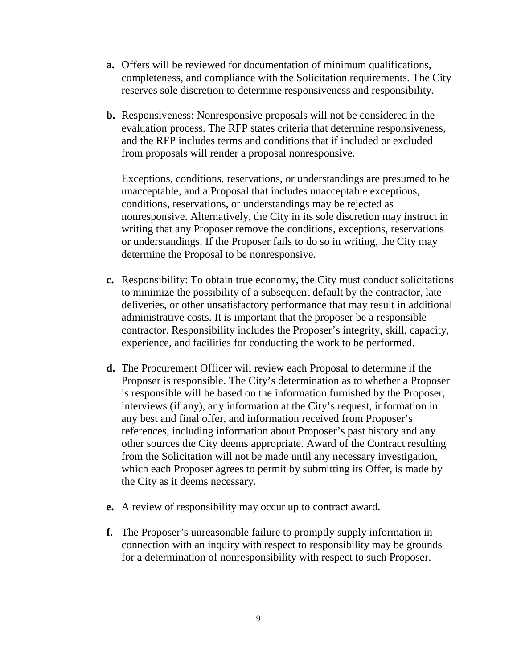- **a.** Offers will be reviewed for documentation of minimum qualifications, completeness, and compliance with the Solicitation requirements. The City reserves sole discretion to determine responsiveness and responsibility.
- **b.** Responsiveness: Nonresponsive proposals will not be considered in the evaluation process. The RFP states criteria that determine responsiveness, and the RFP includes terms and conditions that if included or excluded from proposals will render a proposal nonresponsive.

Exceptions, conditions, reservations, or understandings are presumed to be unacceptable, and a Proposal that includes unacceptable exceptions, conditions, reservations, or understandings may be rejected as nonresponsive. Alternatively, the City in its sole discretion may instruct in writing that any Proposer remove the conditions, exceptions, reservations or understandings. If the Proposer fails to do so in writing, the City may determine the Proposal to be nonresponsive.

- **c.** Responsibility: To obtain true economy, the City must conduct solicitations to minimize the possibility of a subsequent default by the contractor, late deliveries, or other unsatisfactory performance that may result in additional administrative costs. It is important that the proposer be a responsible contractor. Responsibility includes the Proposer's integrity, skill, capacity, experience, and facilities for conducting the work to be performed.
- **d.** The Procurement Officer will review each Proposal to determine if the Proposer is responsible. The City's determination as to whether a Proposer is responsible will be based on the information furnished by the Proposer, interviews (if any), any information at the City's request, information in any best and final offer, and information received from Proposer's references, including information about Proposer's past history and any other sources the City deems appropriate. Award of the Contract resulting from the Solicitation will not be made until any necessary investigation, which each Proposer agrees to permit by submitting its Offer, is made by the City as it deems necessary.
- **e.** A review of responsibility may occur up to contract award.
- **f.** The Proposer's unreasonable failure to promptly supply information in connection with an inquiry with respect to responsibility may be grounds for a determination of nonresponsibility with respect to such Proposer.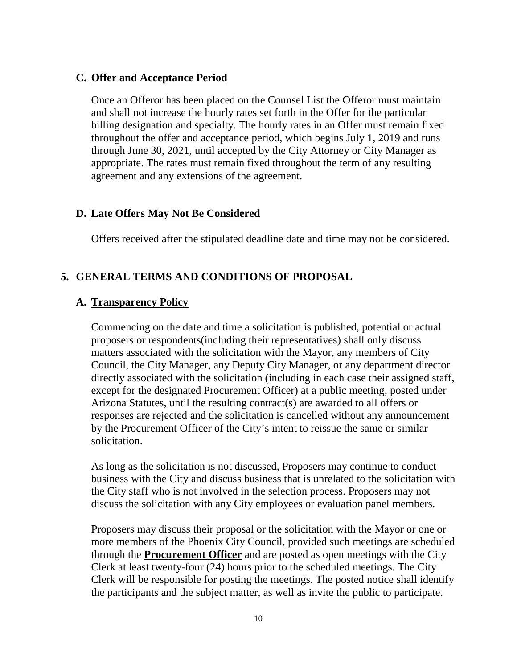#### **C. Offer and Acceptance Period**

Once an Offeror has been placed on the Counsel List the Offeror must maintain and shall not increase the hourly rates set forth in the Offer for the particular billing designation and specialty. The hourly rates in an Offer must remain fixed throughout the offer and acceptance period, which begins July 1, 2019 and runs through June 30, 2021, until accepted by the City Attorney or City Manager as appropriate. The rates must remain fixed throughout the term of any resulting agreement and any extensions of the agreement.

#### **D. Late Offers May Not Be Considered**

Offers received after the stipulated deadline date and time may not be considered.

#### **5. GENERAL TERMS AND CONDITIONS OF PROPOSAL**

#### **A. Transparency Policy**

Commencing on the date and time a solicitation is published, potential or actual proposers or respondents(including their representatives) shall only discuss matters associated with the solicitation with the Mayor, any members of City Council, the City Manager, any Deputy City Manager, or any department director directly associated with the solicitation (including in each case their assigned staff, except for the designated Procurement Officer) at a public meeting, posted under Arizona Statutes, until the resulting contract(s) are awarded to all offers or responses are rejected and the solicitation is cancelled without any announcement by the Procurement Officer of the City's intent to reissue the same or similar solicitation.

As long as the solicitation is not discussed, Proposers may continue to conduct business with the City and discuss business that is unrelated to the solicitation with the City staff who is not involved in the selection process. Proposers may not discuss the solicitation with any City employees or evaluation panel members.

Proposers may discuss their proposal or the solicitation with the Mayor or one or more members of the Phoenix City Council, provided such meetings are scheduled through the **Procurement Officer** and are posted as open meetings with the City Clerk at least twenty-four (24) hours prior to the scheduled meetings. The City Clerk will be responsible for posting the meetings. The posted notice shall identify the participants and the subject matter, as well as invite the public to participate.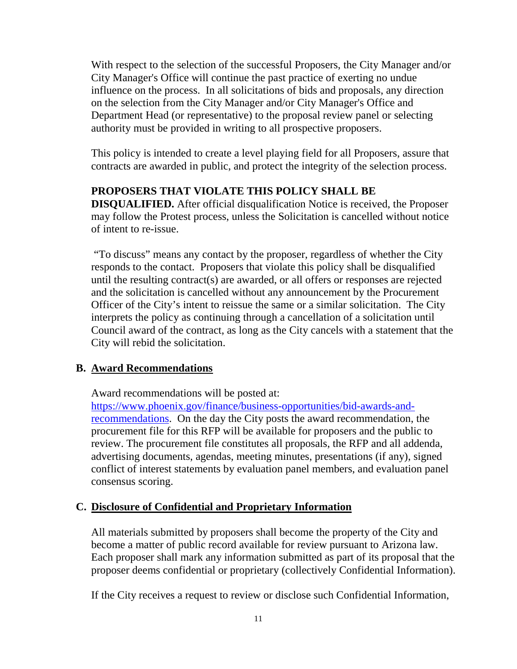With respect to the selection of the successful Proposers, the City Manager and/or City Manager's Office will continue the past practice of exerting no undue influence on the process. In all solicitations of bids and proposals, any direction on the selection from the City Manager and/or City Manager's Office and Department Head (or representative) to the proposal review panel or selecting authority must be provided in writing to all prospective proposers.

This policy is intended to create a level playing field for all Proposers, assure that contracts are awarded in public, and protect the integrity of the selection process.

# **PROPOSERS THAT VIOLATE THIS POLICY SHALL BE**

**DISQUALIFIED.** After official disqualification Notice is received, the Proposer may follow the Protest process, unless the Solicitation is cancelled without notice of intent to re-issue.

"To discuss" means any contact by the proposer, regardless of whether the City responds to the contact. Proposers that violate this policy shall be disqualified until the resulting contract(s) are awarded, or all offers or responses are rejected and the solicitation is cancelled without any announcement by the Procurement Officer of the City's intent to reissue the same or a similar solicitation. The City interprets the policy as continuing through a cancellation of a solicitation until Council award of the contract, as long as the City cancels with a statement that the City will rebid the solicitation.

# **B. Award Recommendations**

Award recommendations will be posted at:

https://www.phoenix.gov/finance/business-opportunities/bid-awards-andrecommendations. On the day the City posts the award recommendation, the procurement file for this RFP will be available for proposers and the public to review. The procurement file constitutes all proposals, the RFP and all addenda, advertising documents, agendas, meeting minutes, presentations (if any), signed conflict of interest statements by evaluation panel members, and evaluation panel consensus scoring.

# **C. Disclosure of Confidential and Proprietary Information**

All materials submitted by proposers shall become the property of the City and become a matter of public record available for review pursuant to Arizona law. Each proposer shall mark any information submitted as part of its proposal that the proposer deems confidential or proprietary (collectively Confidential Information).

If the City receives a request to review or disclose such Confidential Information,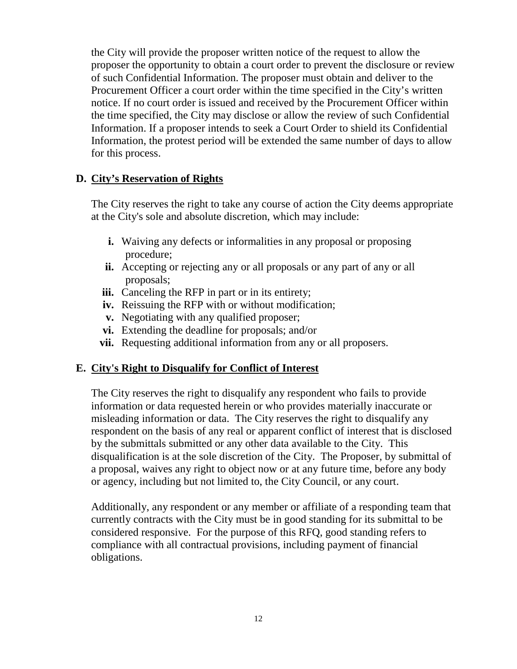the City will provide the proposer written notice of the request to allow the proposer the opportunity to obtain a court order to prevent the disclosure or review of such Confidential Information. The proposer must obtain and deliver to the Procurement Officer a court order within the time specified in the City's written notice. If no court order is issued and received by the Procurement Officer within the time specified, the City may disclose or allow the review of such Confidential Information. If a proposer intends to seek a Court Order to shield its Confidential Information, the protest period will be extended the same number of days to allow for this process.

# **D. City's Reservation of Rights**

The City reserves the right to take any course of action the City deems appropriate at the City's sole and absolute discretion, which may include:

- **i.** Waiving any defects or informalities in any proposal or proposing procedure;
- **ii.** Accepting or rejecting any or all proposals or any part of any or all proposals;
- iii. Canceling the RFP in part or in its entirety;
- **iv.** Reissuing the RFP with or without modification;
- **v.** Negotiating with any qualified proposer;
- **vi.** Extending the deadline for proposals; and/or
- **vii.** Requesting additional information from any or all proposers.

# **E. City's Right to Disqualify for Conflict of Interest**

The City reserves the right to disqualify any respondent who fails to provide information or data requested herein or who provides materially inaccurate or misleading information or data. The City reserves the right to disqualify any respondent on the basis of any real or apparent conflict of interest that is disclosed by the submittals submitted or any other data available to the City. This disqualification is at the sole discretion of the City. The Proposer, by submittal of a proposal, waives any right to object now or at any future time, before any body or agency, including but not limited to, the City Council, or any court.

Additionally, any respondent or any member or affiliate of a responding team that currently contracts with the City must be in good standing for its submittal to be considered responsive. For the purpose of this RFQ, good standing refers to compliance with all contractual provisions, including payment of financial obligations.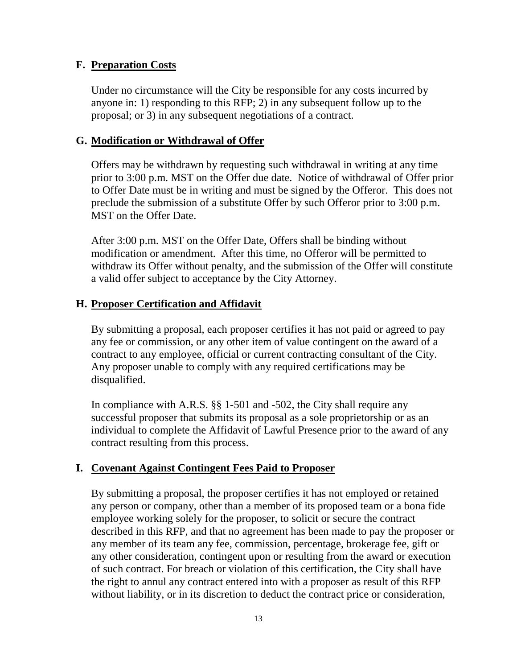#### **F. Preparation Costs**

Under no circumstance will the City be responsible for any costs incurred by anyone in: 1) responding to this RFP; 2) in any subsequent follow up to the proposal; or 3) in any subsequent negotiations of a contract.

#### **G. Modification or Withdrawal of Offer**

Offers may be withdrawn by requesting such withdrawal in writing at any time prior to 3:00 p.m. MST on the Offer due date. Notice of withdrawal of Offer prior to Offer Date must be in writing and must be signed by the Offeror. This does not preclude the submission of a substitute Offer by such Offeror prior to 3:00 p.m. MST on the Offer Date.

After 3:00 p.m. MST on the Offer Date, Offers shall be binding without modification or amendment. After this time, no Offeror will be permitted to withdraw its Offer without penalty, and the submission of the Offer will constitute a valid offer subject to acceptance by the City Attorney.

#### **H. Proposer Certification and Affidavit**

By submitting a proposal, each proposer certifies it has not paid or agreed to pay any fee or commission, or any other item of value contingent on the award of a contract to any employee, official or current contracting consultant of the City. Any proposer unable to comply with any required certifications may be disqualified.

In compliance with A.R.S. §§ 1-501 and -502, the City shall require any successful proposer that submits its proposal as a sole proprietorship or as an individual to complete the Affidavit of Lawful Presence prior to the award of any contract resulting from this process.

#### **I. Covenant Against Contingent Fees Paid to Proposer**

By submitting a proposal, the proposer certifies it has not employed or retained any person or company, other than a member of its proposed team or a bona fide employee working solely for the proposer, to solicit or secure the contract described in this RFP, and that no agreement has been made to pay the proposer or any member of its team any fee, commission, percentage, brokerage fee, gift or any other consideration, contingent upon or resulting from the award or execution of such contract. For breach or violation of this certification, the City shall have the right to annul any contract entered into with a proposer as result of this RFP without liability, or in its discretion to deduct the contract price or consideration,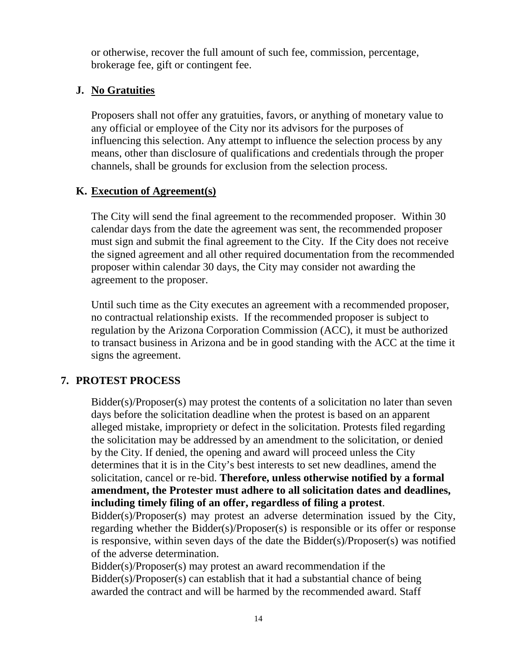or otherwise, recover the full amount of such fee, commission, percentage, brokerage fee, gift or contingent fee.

# **J. No Gratuities**

Proposers shall not offer any gratuities, favors, or anything of monetary value to any official or employee of the City nor its advisors for the purposes of influencing this selection. Any attempt to influence the selection process by any means, other than disclosure of qualifications and credentials through the proper channels, shall be grounds for exclusion from the selection process.

# **K. Execution of Agreement(s)**

The City will send the final agreement to the recommended proposer. Within 30 calendar days from the date the agreement was sent, the recommended proposer must sign and submit the final agreement to the City. If the City does not receive the signed agreement and all other required documentation from the recommended proposer within calendar 30 days, the City may consider not awarding the agreement to the proposer.

Until such time as the City executes an agreement with a recommended proposer, no contractual relationship exists. If the recommended proposer is subject to regulation by the Arizona Corporation Commission (ACC), it must be authorized to transact business in Arizona and be in good standing with the ACC at the time it signs the agreement.

# **7. PROTEST PROCESS**

Bidder(s)/Proposer(s) may protest the contents of a solicitation no later than seven days before the solicitation deadline when the protest is based on an apparent alleged mistake, impropriety or defect in the solicitation. Protests filed regarding the solicitation may be addressed by an amendment to the solicitation, or denied by the City. If denied, the opening and award will proceed unless the City determines that it is in the City's best interests to set new deadlines, amend the solicitation, cancel or re-bid. **Therefore, unless otherwise notified by a formal amendment, the Protester must adhere to all solicitation dates and deadlines, including timely filing of an offer, regardless of filing a protest**.

Bidder(s)/Proposer(s) may protest an adverse determination issued by the City, regarding whether the Bidder(s)/Proposer(s) is responsible or its offer or response is responsive, within seven days of the date the Bidder(s)/Proposer(s) was notified of the adverse determination.

Bidder(s)/Proposer(s) may protest an award recommendation if the Bidder(s)/Proposer(s) can establish that it had a substantial chance of being awarded the contract and will be harmed by the recommended award. Staff